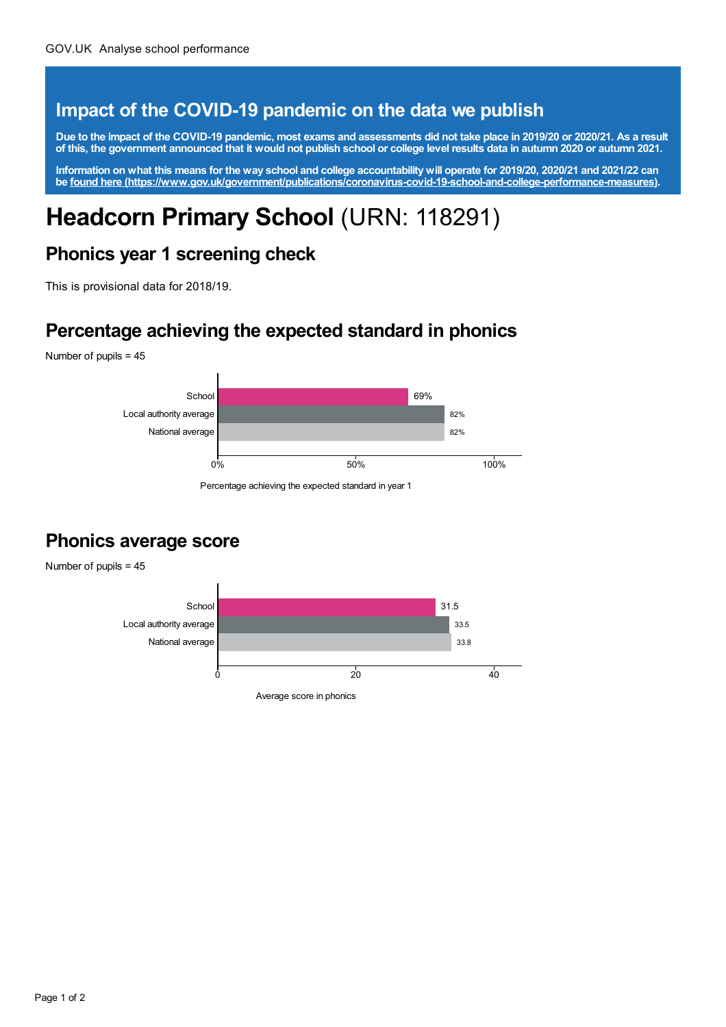#### **Impact of the COVID-19 pandemic on the data we publish**

Due to the impact of the COVID-19 pandemic, most exams and assessments did not take place in 2019/20 or 2020/21. As a result of this, the government announced that it would not publish school or college level results data in autumn 2020 or autumn 2021.

Information on what this means for the way school and college accountability will operate for 2019/20, 2020/21 and 2021/22 can **be found here [\(https://www.gov.uk/government/publications/coronavirus-covid-19-school-and-college-performance-measures\)](https://www.gov.uk/government/publications/coronavirus-covid-19-school-and-college-performance-measures).**

# **Headcorn Primary School** (URN: 118291)

#### **Phonics year 1 screening check**

This is provisional data for 2018/19.

#### **Percentage achieving the expected standard in phonics**

Number of pupils = 45



Percentage achieving the expected standard in year 1

#### **Phonics average score**



Page 1 of 2